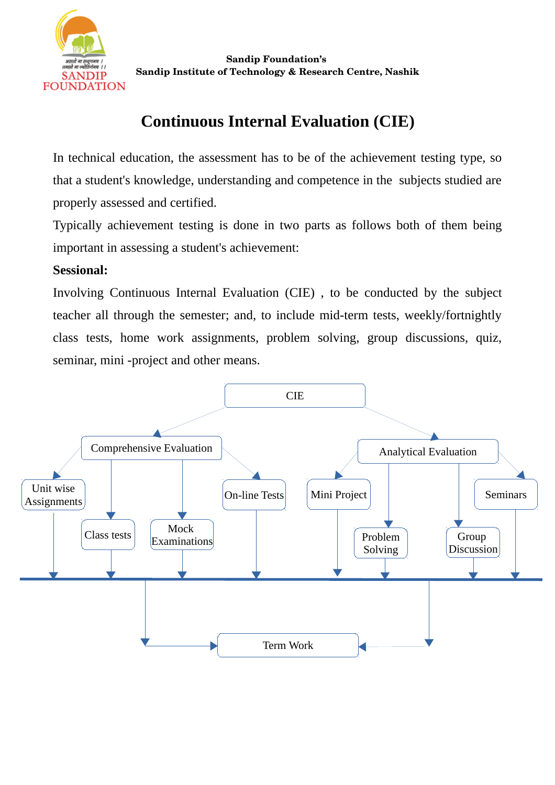

## **Continuous Internal Evaluation (CIE)**

In technical education, the assessment has to be of the achievement testing type, so that a student's knowledge, understanding and competence in the subjects studied are properly assessed and certified.

Typically achievement testing is done in two parts as follows both of them being important in assessing a student's achievement:

## **Sessional:**

Involving Continuous Internal Evaluation (CIE) , to be conducted by the subject teacher all through the semester; and, to include mid-term tests, weekly/fortnightly class tests, home work assignments, problem solving, group discussions, quiz, seminar, mini -project and other means.